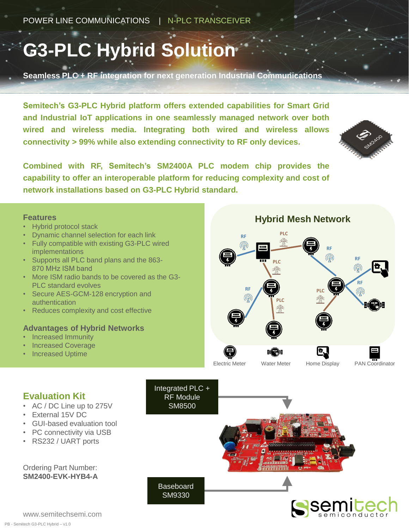## **G3-PLC Hybrid Solution**

**Seamless PLC + RF integration for next generation Industrial Communications**

**Semitech's G3-PLC Hybrid platform offers extended capabilities for Smart Grid and Industrial IoT applications in one seamlessly managed network over both wired and wireless media. Integrating both wired and wireless allows connectivity > 99% while also extending connectivity to RF only devices.**



**Combined with RF, Semitech's SM2400A PLC modem chip provides the capability to offer an interoperable platform for reducing complexity and cost of network installations based on G3-PLC Hybrid standard.**

> Integrated PLC + RF Module SM8500

**Baseboard** SM9330

#### **Features**

- Hybrid protocol stack
- Dynamic channel selection for each link
- Fully compatible with existing G3-PLC wired implementations
- Supports all PLC band plans and the 863- 870 MHz ISM band
- More ISM radio bands to be covered as the G3- PLC standard evolves
- Secure AES-GCM-128 encryption and authentication
- Reduces complexity and cost effective

#### **Advantages of Hybrid Networks**

- Increased Immunity
- Increased Coverage
- Increased Uptime



Electric Meter Water Meter Home Display PAN Coordinator



- AC / DC Line up to 275V
- External 15V DC
- GUI-based evaluation tool
- PC connectivity via USB
- RS232 / UART ports

#### Ordering Part Number: **SM2400-EVK-HYB4-A**